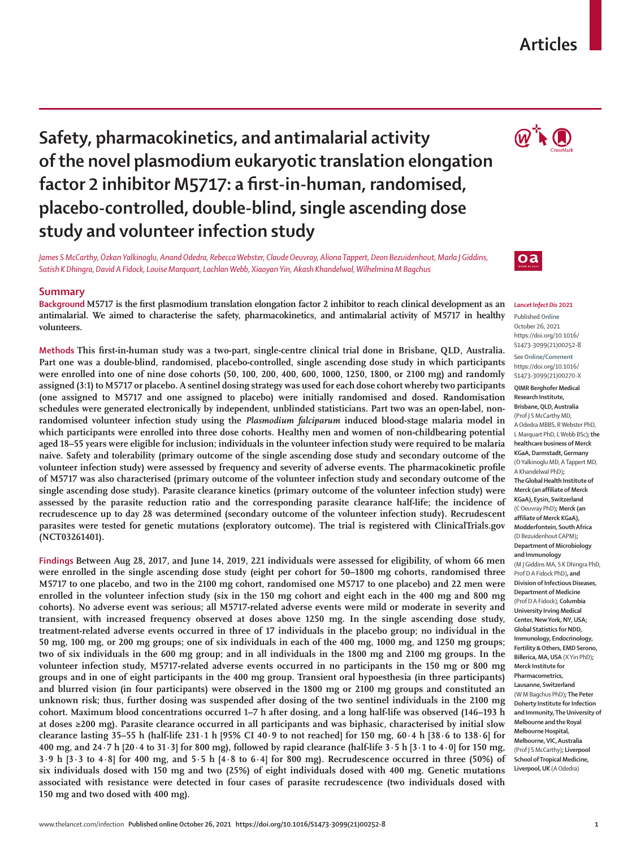#### www.thelancet.com/infection **Published online October 26, 2021 https://doi.org/10.1016/S1473-3099(21)00252-8 1**

# **Safety, pharmacokinetics, and antimalarial activity of the novel plasmodium eukaryotic translation elongation factor 2 inhibitor M5717: a first-in-human, randomised, placebo-controlled, double-blind, single ascending dose study and volunteer infection study**

*James S McCarthy, Özkan Yalkinoglu, Anand Odedra, Rebecca Webster, Claude Oeuvray, Aliona Tappert, Deon Bezuidenhout, Marla J Giddins, Satish K Dhingra, David A Fidock, Louise Marquart, Lachlan Webb, Xiaoyan Yin, Akash Khandelwal, Wilhelmina M Bagchus*

## **Summary**

**Background M5717 is the first plasmodium translation elongation factor 2 inhibitor to reach clinical development as an antimalarial. We aimed to characterise the safety, pharmacokinetics, and antimalarial activity of M5717 in healthy volunteers.**

**Methods This first-in-human study was a two-part, single-centre clinical trial done in Brisbane, QLD, Australia. Part one was a double-blind, randomised, placebo-controlled, single ascending dose study in which participants were enrolled into one of nine dose cohorts (50, 100, 200, 400, 600, 1000, 1250, 1800, or 2100 mg) and randomly assigned (3:1) to M5717 or placebo. A sentinel dosing strategy was used for each dose cohort whereby two participants (one assigned to M5717 and one assigned to placebo) were initially randomised and dosed. Randomisation schedules were generated electronically by independent, unblinded statisticians. Part two was an open-label, nonrandomised volunteer infection study using the** *Plasmodium falciparum* **induced blood-stage malaria model in which participants were enrolled into three dose cohorts. Healthy men and women of non-childbearing potential aged 18–55 years were eligible for inclusion; individuals in the volunteer infection study were required to be malaria naive. Safety and tolerability (primary outcome of the single ascending dose study and secondary outcome of the volunteer infection study) were assessed by frequency and severity of adverse events. The pharmacokinetic profile of M5717 was also characterised (primary outcome of the volunteer infection study and secondary outcome of the single ascending dose study). Parasite clearance kinetics (primary outcome of the volunteer infection study) were assessed by the parasite reduction ratio and the corresponding parasite clearance half-life; the incidence of recrudescence up to day 28 was determined (secondary outcome of the volunteer infection study). Recrudescent parasites were tested for genetic mutations (exploratory outcome). The trial is registered with ClinicalTrials.gov (NCT03261401).**

**Findings Between Aug 28, 2017, and June 14, 2019, 221 individuals were assessed for eligibility, of whom 66 men were enrolled in the single ascending dose study (eight per cohort for 50–1800 mg cohorts, randomised three M5717 to one placebo, and two in the 2100 mg cohort, randomised one M5717 to one placebo) and 22 men were enrolled in the volunteer infection study (six in the 150 mg cohort and eight each in the 400 mg and 800 mg cohorts). No adverse event was serious; all M5717-related adverse events were mild or moderate in severity and transient, with increased frequency observed at doses above 1250 mg. In the single ascending dose study, treatment-related adverse events occurred in three of 17 individuals in the placebo group; no individual in the 50 mg, 100 mg, or 200 mg groups; one of six individuals in each of the 400 mg, 1000 mg, and 1250 mg groups; two of six individuals in the 600 mg group; and in all individuals in the 1800 mg and 2100 mg groups. In the volunteer infection study, M5717-related adverse events occurred in no participants in the 150 mg or 800 mg groups and in one of eight participants in the 400 mg group. Transient oral hypoesthesia (in three participants) and blurred vision (in four participants) were observed in the 1800 mg or 2100 mg groups and constituted an unknown risk; thus, further dosing was suspended after dosing of the two sentinel individuals in the 2100 mg cohort. Maximum blood concentrations occurred 1–7 h after dosing, and a long half-life was observed (146–193 h at doses ≥200 mg). Parasite clearance occurred in all participants and was biphasic, characterised by initial slow clearance lasting 35–55 h (half-life 231∙1 h [95% CI 40∙9 to not reached] for 150 mg, 60∙4 h [38∙6 to 138∙6] for 400 mg, and 24∙7 h [20∙4 to 31∙3] for 800 mg), followed by rapid clearance (half-life 3∙5 h [3∙1 to 4∙0] for 150 mg, 3∙9 h [3∙3 to 4∙8] for 400 mg, and 5∙5 h [4∙8 to 6∙4] for 800 mg). Recrudescence occurred in three (50%) of six individuals dosed with 150 mg and two (25%) of eight individuals dosed with 400 mg. Genetic mutations associated with resistance were detected in four cases of parasite recrudescence (two individuals dosed with 150 mg and two dosed with 400 mg).**

#### *Lancet Infect Dis* **2021**

Published **Online** October 26, 2021 https://doi.org/10.1016/ S1473-3099(21)00252-8

See**Online/Comment** https://doi.org/10.1016/ S1473-3099(21)00270-X

**QIMR Berghofer Medical Research Institute, Brisbane, QLD, Australia** (Prof J S McCarthy MD, A Odedra MBBS, R Webster PhD, L Marquart PhD, L Webb BSc)**; the healthcare business of Merck KGaA, Darmstadt, Germany**  (Ö Yalkinoglu MD, A Tappert MD, A Khandelwal PhD)**; The Global Health Institute of Merck (an affiliate of Merck KGaA), Eysin, Switzerland**  (C Oeuvray PhD)**; Merck (an affiliate of Merck KGaA), Modderfontein, South Africa** (D Bezuidenhout CAPM)**; Department of Microbiology and Immunology**  (M J Giddins MA, S K Dhingra PhD, Prof D A Fidock PhD)**, and Division of Infectious Diseases, Department of Medicine** (Prof D A Fidock), **Columbia University Irving Medical Center, New York, NY, USA; Global Statistics for NDD, Immunology, Endocrinology, Fertility & Others, EMD Serono, Billerica, MA, USA** (X Yin PhD)**; Merck Institute for Pharmacometrics, Lausanne, Switzerland**  (W M Bagchus PhD)**; The Peter Doherty Institute for Infection and Immunity, The University of Melbourne and the Royal Melbourne Hospital, Melbourne, VIC, Australia** (Prof J S McCarthy)**; Liverpool School of Tropical Medicine, Liverpool, UK** (A Odedra)



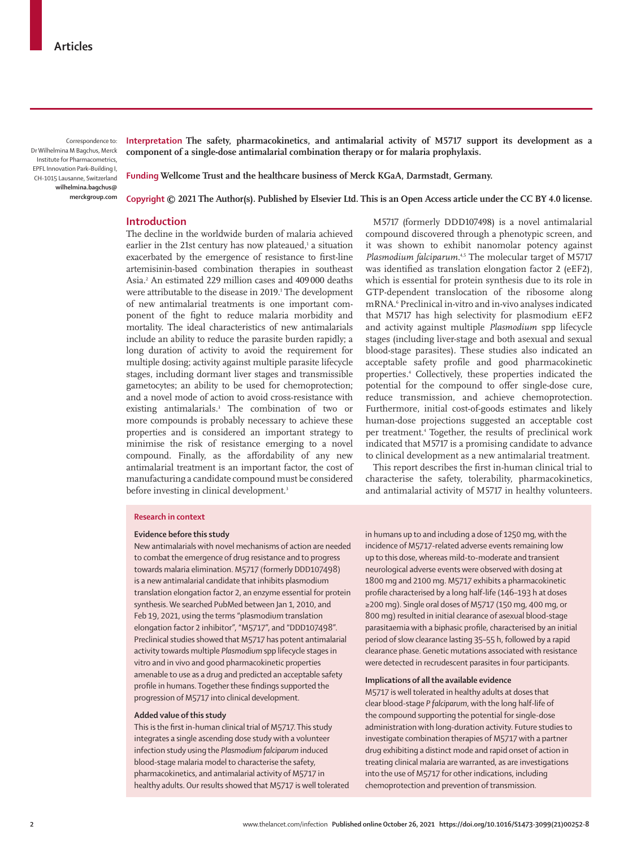Correspondence to: Dr Wilhelmina M Bagchus, Merck Institute for Pharmacometrics, EPFL Innovation Park–Building I, CH-1015 Lausanne, Switzerland **wilhelmina.bagchus@ merckgroup.com** **Interpretation The safety, pharmacokinetics, and antimalarial activity of M5717 support its development as a component of a single-dose antimalarial combination therapy or for malaria prophylaxis.**

**Funding Wellcome Trust and the healthcare business of Merck KGaA, Darmstadt, Germany.**

**Copyright © 2021 The Author(s). Published by Elsevier Ltd. This is an Open Access article under the CC BY 4.0 license.**

# **Introduction**

The decline in the worldwide burden of malaria achieved earlier in the 21st century has now plateaued,<sup>1</sup> a situation exacerbated by the emergence of resistance to first-line artemisinin-based combination therapies in southeast Asia.2 An estimated 229 million cases and 409000 deaths were attributable to the disease in 2019.<sup>1</sup> The development of new antimalarial treatments is one important component of the fight to reduce malaria morbidity and mortality. The ideal characteristics of new antimalarials include an ability to reduce the parasite burden rapidly; a long duration of activity to avoid the requirement for multiple dosing; activity against multiple parasite lifecycle stages, including dormant liver stages and transmissible gametocytes; an ability to be used for chemoprotection; and a novel mode of action to avoid cross-resistance with existing antimalarials.3 The combination of two or more compounds is probably necessary to achieve these properties and is considered an important strategy to minimise the risk of resistance emerging to a novel compound. Finally, as the affordability of any new antimalarial treatment is an important factor, the cost of manufacturing a candidate compound must be considered before investing in clinical development.<sup>3</sup>

M5717 (formerly DDD107498) is a novel antimalarial compound discovered through a phenotypic screen, and it was shown to exhibit nanomolar potency against Plasmodium falciparum.<sup>4,5</sup> The molecular target of M5717 was identified as translation elongation factor 2 (eEF2), which is essential for protein synthesis due to its role in GTP-dependent translocation of the ribosome along mRNA.6 Preclinical in-vitro and in-vivo analyses indicated that M5717 has high selectivity for plasmodium eEF2 and activity against multiple *Plasmodium* spp lifecycle stages (including liver-stage and both asexual and sexual blood-stage parasites)*.* These studies also indicated an acceptable safety profile and good pharmacokinetic properties.4 Collectively, these properties indicated the potential for the compound to offer single-dose cure, reduce transmission, and achieve chemoprotection. Furthermore, initial cost-of-goods estimates and likely human-dose projections suggested an acceptable cost per treatment.4 Together, the results of preclinical work indicated that M5717 is a promising candidate to advance to clinical development as a new antimalarial treatment.

This report describes the first in-human clinical trial to characterise the safety, tolerability, pharmacokinetics, and antimalarial activity of M5717 in healthy volunteers.

#### **Research in context**

## **Evidence before this study**

New antimalarials with novel mechanisms of action are needed to combat the emergence of drug resistance and to progress towards malaria elimination. M5717 (formerly DDD107498) is a new antimalarial candidate that inhibits plasmodium translation elongation factor 2, an enzyme essential for protein synthesis. We searched PubMed between Jan 1, 2010, and Feb 19, 2021, using the terms "plasmodium translation elongation factor 2 inhibitor", "M5717", and "DDD107498". Preclinical studies showed that M5717 has potent antimalarial activity towards multiple *Plasmodium* spp lifecycle stages in vitro and in vivo and good pharmacokinetic properties amenable to use as a drug and predicted an acceptable safety profile in humans. Together these findings supported the progression of M5717 into clinical development.

## **Added value of this study**

This is the first in-human clinical trial of M5717. This study integrates a single ascending dose study with a volunteer infection study using the *Plasmodium falciparum* induced blood-stage malaria model to characterise the safety, pharmacokinetics, and antimalarial activity of M5717 in healthy adults. Our results showed that M5717 is well tolerated in humans up to and including a dose of 1250 mg, with the incidence of M5717-related adverse events remaining low up to this dose, whereas mild-to-moderate and transient neurological adverse events were observed with dosing at 1800 mg and 2100 mg. M5717 exhibits a pharmacokinetic profile characterised by a long half-life (146–193 h at doses ≥200 mg). Single oral doses of M5717 (150 mg, 400 mg, or 800 mg) resulted in initial clearance of asexual blood-stage parasitaemia with a biphasic profile, characterised by an initial period of slow clearance lasting 35–55 h, followed by a rapid clearance phase. Genetic mutations associated with resistance were detected in recrudescent parasites in four participants.

### **Implications of all the available evidence**

M5717 is well tolerated in healthy adults at doses that clear blood-stage *P falciparum*, with the long half-life of the compound supporting the potential for single-dose administration with long-duration activity. Future studies to investigate combination therapies of M5717 with a partner drug exhibiting a distinct mode and rapid onset of action in treating clinical malaria are warranted, as are investigations into the use of M5717 for other indications, including chemoprotection and prevention of transmission.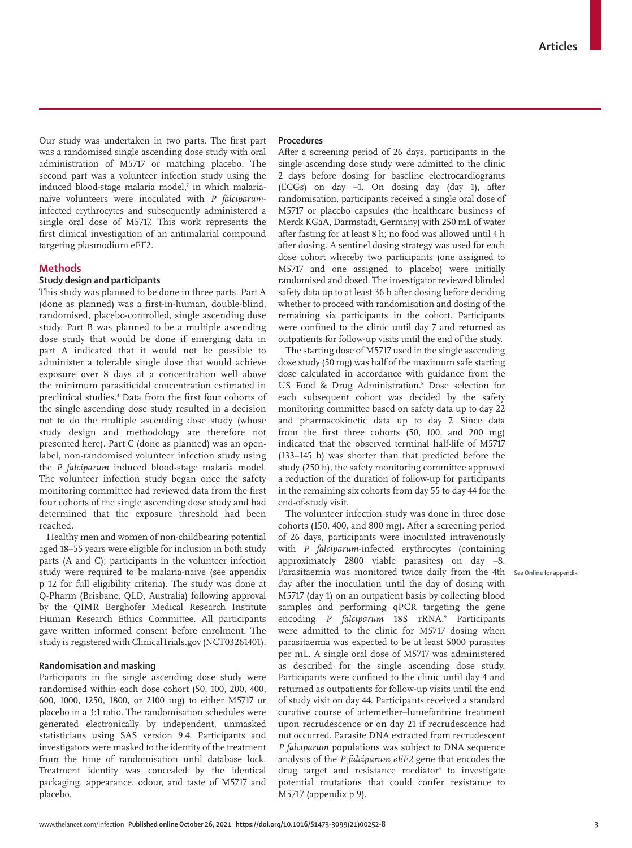Our study was undertaken in two parts. The first part was a randomised single ascending dose study with oral administration of M5717 or matching placebo. The second part was a volunteer infection study using the induced blood-stage malaria model,<sup>7</sup> in which malarianaive volunteers were inoculated with *P falciparum*infected erythrocytes and subsequently administered a single oral dose of M5717. This work represents the first clinical investigation of an antimalarial compound targeting plasmodium eEF2.

# **Methods**

# **Study design and participants**

This study was planned to be done in three parts. Part A (done as planned) was a first-in-human, double-blind, randomised, placebo-controlled, single ascending dose study. Part B was planned to be a multiple ascending dose study that would be done if emerging data in part A indicated that it would not be possible to administer a tolerable single dose that would achieve exposure over 8 days at a concentration well above the minimum parasiticidal concentration estimated in preclinical studies.4 Data from the first four cohorts of the single ascending dose study resulted in a decision not to do the multiple ascending dose study (whose study design and methodology are therefore not presented here). Part C (done as planned) was an openlabel, non-randomised volunteer infection study using the *P falciparum* induced blood-stage malaria model. The volunteer infection study began once the safety monitoring committee had reviewed data from the first four cohorts of the single ascending dose study and had determined that the exposure threshold had been reached.

Healthy men and women of non-childbearing potential aged 18–55 years were eligible for inclusion in both study parts (A and C); participants in the volunteer infection study were required to be malaria-naive (see appendix p 12 for full eligibility criteria). The study was done at Q-Pharm (Brisbane, QLD, Australia) following approval by the QIMR Berghofer Medical Research Institute Human Research Ethics Committee. All participants gave written informed consent before enrolment. The study is registered with ClinicalTrials.gov (NCT03261401).

# **Randomisation and masking**

Participants in the single ascending dose study were randomised within each dose cohort (50, 100, 200, 400, 600, 1000, 1250, 1800, or 2100 mg) to either M5717 or placebo in a 3:1 ratio. The randomisation schedules were generated electronically by independent, unmasked statisticians using SAS version 9.4. Participants and investigators were masked to the identity of the treatment from the time of randomisation until database lock. Treatment identity was concealed by the identical packaging, appearance, odour, and taste of M5717 and placebo.

## **Procedures**

After a screening period of 26 days, participants in the single ascending dose study were admitted to the clinic 2 days before dosing for baseline electrocardiograms (ECGs) on day –1. On dosing day (day 1), after randomisation, participants received a single oral dose of M5717 or placebo capsules (the healthcare business of Merck KGaA, Darmstadt, Germany) with 250 mL of water after fasting for at least 8 h; no food was allowed until 4 h after dosing. A sentinel dosing strategy was used for each dose cohort whereby two participants (one assigned to M5717 and one assigned to placebo) were initially randomised and dosed. The investigator reviewed blinded safety data up to at least 36 h after dosing before deciding whether to proceed with randomisation and dosing of the remaining six participants in the cohort. Participants were confined to the clinic until day 7 and returned as outpatients for follow-up visits until the end of the study.

The starting dose of M5717 used in the single ascending dose study (50 mg) was half of the maximum safe starting dose calculated in accordance with guidance from the US Food & Drug Administration.8 Dose selection for each subsequent cohort was decided by the safety monitoring committee based on safety data up to day 22 and pharmacokinetic data up to day 7. Since data from the first three cohorts (50, 100, and 200 mg) indicated that the observed terminal half-life of M5717 (133–145 h) was shorter than that predicted before the study (250 h), the safety monitoring committee approved a reduction of the duration of follow-up for participants in the remaining six cohorts from day 55 to day 44 for the end-of-study visit.

The volunteer infection study was done in three dose cohorts (150, 400, and 800 mg). After a screening period of 26 days, participants were inoculated intravenously with *P falciparum*-infected erythrocytes (containing approximately 2800 viable parasites) on day –8. Parasitaemia was monitored twice daily from the 4th day after the inoculation until the day of dosing with M5717 (day 1) on an outpatient basis by collecting blood samples and performing qPCR targeting the gene encoding P falciparum 18S rRNA.<sup>9</sup> Participants were admitted to the clinic for M5717 dosing when parasitaemia was expected to be at least 5000 parasites per mL. A single oral dose of M5717 was administered as described for the single ascending dose study. Participants were confined to the clinic until day 4 and returned as outpatients for follow-up visits until the end of study visit on day 44. Participants received a standard curative course of artemether–lumefantrine treatment upon recrudescence or on day 21 if recrudescence had not occurred. Parasite DNA extracted from recrudescent *P falciparum* populations was subject to DNA sequence analysis of the *P falciparum eEF2* gene that encodes the drug target and resistance mediator<sup>4</sup> to investigate potential mutations that could confer resistance to M5717 (appendix p 9).

See **Online** for appendix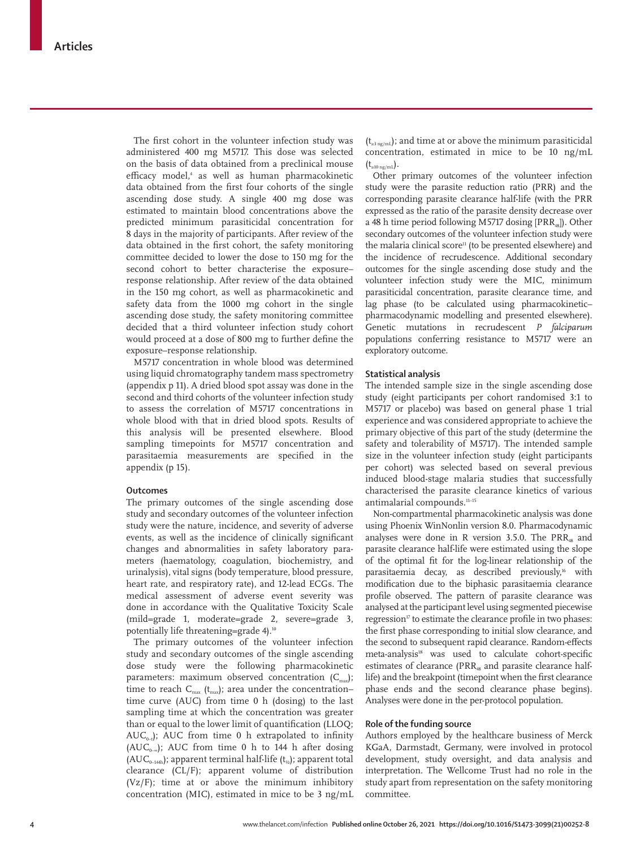The first cohort in the volunteer infection study was administered 400 mg M5717. This dose was selected on the basis of data obtained from a preclinical mouse efficacy model,4 as well as human pharmacokinetic data obtained from the first four cohorts of the single ascending dose study. A single 400 mg dose was estimated to maintain blood concentrations above the predicted minimum parasiticidal concentration for 8 days in the majority of participants. After review of the data obtained in the first cohort, the safety monitoring committee decided to lower the dose to 150 mg for the second cohort to better characterise the exposure– response relationship. After review of the data obtained in the 150 mg cohort, as well as pharmacokinetic and safety data from the 1000 mg cohort in the single ascending dose study, the safety monitoring committee decided that a third volunteer infection study cohort would proceed at a dose of 800 mg to further define the exposure–response relationship.

M5717 concentration in whole blood was determined using liquid chromatography tandem mass spectrometry (appendix p 11). A dried blood spot assay was done in the second and third cohorts of the volunteer infection study to assess the correlation of M5717 concentrations in whole blood with that in dried blood spots. Results of this analysis will be presented elsewhere. Blood sampling timepoints for M5717 concentration and parasitaemia measurements are specified in the appendix (p 15).

### **Outcomes**

The primary outcomes of the single ascending dose study and secondary outcomes of the volunteer infection study were the nature, incidence, and severity of adverse events, as well as the incidence of clinically significant changes and abnormalities in safety laboratory parameters (haematology, coagulation, biochemistry, and urinalysis), vital signs (body temperature, blood pressure, heart rate, and respiratory rate), and 12-lead ECGs. The medical assessment of adverse event severity was done in accordance with the Qualitative Toxicity Scale (mild=grade 1, moderate=grade 2, severe=grade 3, potentially life threatening=grade 4).<sup>10</sup>

The primary outcomes of the volunteer infection study and secondary outcomes of the single ascending dose study were the following pharmacokinetic parameters: maximum observed concentration  $(C_{\text{max}});$ time to reach  $C_{\text{max}}$  ( $t_{\text{max}}$ ); area under the concentration– time curve (AUC) from time 0 h (dosing) to the last sampling time at which the concentration was greater than or equal to the lower limit of quantification (LLOQ;  $AUC_{0}$ ; AUC from time 0 h extrapolated to infinity ( $AUC_{0-∞}$ ); AUC from time 0 h to 144 h after dosing (AUC<sub>0–144h</sub>); apparent terminal half-life (t<sub>1/2</sub>); apparent total clearance (CL/F); apparent volume of distribution (Vz/F); time at or above the minimum inhibitory concentration (MIC), estimated in mice to be 3 ng/mL

 $(t_{\text{standard}})$ ; and time at or above the minimum parasiticidal concentration, estimated in mice to be 10 ng/mL  $\left(t_{\rm \scriptscriptstyle \ge 10\,ng/mL}\right).$ 

Other primary outcomes of the volunteer infection study were the parasite reduction ratio (PRR) and the corresponding parasite clearance half-life (with the PRR expressed as the ratio of the parasite density decrease over a 48 h time period following M5717 dosing [PRR<sub>48</sub>]). Other secondary outcomes of the volunteer infection study were the malaria clinical score<sup>11</sup> (to be presented elsewhere) and the incidence of recrudescence. Additional secondary outcomes for the single ascending dose study and the volunteer infection study were the MIC, minimum parasiticidal concentration, parasite clearance time, and lag phase (to be calculated using pharmacokinetic– pharmacodynamic modelling and presented elsewhere). Genetic mutations in recrudescent *P falciparum* populations conferring resistance to M5717 were an exploratory outcome.

## **Statistical analysis**

The intended sample size in the single ascending dose study (eight participants per cohort randomised 3:1 to M5717 or placebo) was based on general phase 1 trial experience and was considered appropriate to achieve the primary objective of this part of the study (determine the safety and tolerability of M5717). The intended sample size in the volunteer infection study (eight participants per cohort) was selected based on several previous induced blood-stage malaria studies that successfully characterised the parasite clearance kinetics of various antimalarial compounds.11–15

Non-compartmental pharmacokinetic analysis was done using Phoenix WinNonlin version 8.0. Pharmacodynamic analyses were done in R version 3.5.0. The  $PRR_{48}$  and parasite clearance half-life were estimated using the slope of the optimal fit for the log-linear relationship of the parasitaemia decay, as described previously,<sup>16</sup> with modification due to the biphasic parasitaemia clearance profile observed. The pattern of parasite clearance was analysed at the participant level using segmented piecewise regression<sup>17</sup> to estimate the clearance profile in two phases: the first phase corresponding to initial slow clearance, and the second to subsequent rapid clearance. Random-effects meta-analysis<sup>18</sup> was used to calculate cohort-specific estimates of clearance (PRR<sub>48</sub> and parasite clearance halflife) and the breakpoint (timepoint when the first clearance phase ends and the second clearance phase begins). Analyses were done in the per-protocol population.

## **Role of the funding source**

Authors employed by the healthcare business of Merck KGaA, Darmstadt, Germany, were involved in protocol development, study oversight, and data analysis and interpretation. The Wellcome Trust had no role in the study apart from representation on the safety monitoring committee.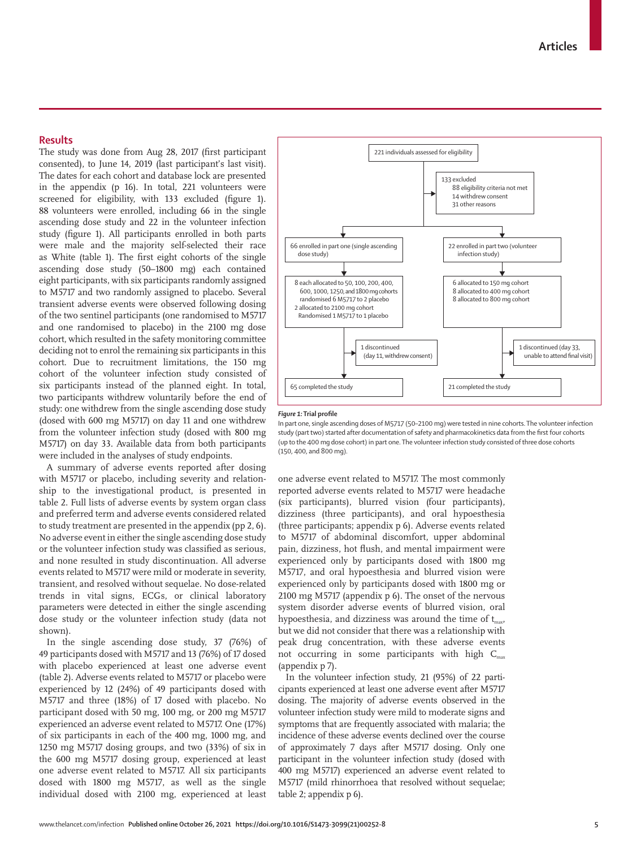## **Results**

The study was done from Aug 28, 2017 (first participant consented), to June 14, 2019 (last participant's last visit). The dates for each cohort and database lock are presented in the appendix (p 16). In total, 221 volunteers were screened for eligibility, with 133 excluded (figure 1). 88 volunteers were enrolled, including 66 in the single ascending dose study and 22 in the volunteer infection study (figure 1). All participants enrolled in both parts were male and the majority self-selected their race as White (table 1). The first eight cohorts of the single ascending dose study (50–1800 mg) each contained eight participants, with six participants randomly assigned to M5717 and two randomly assigned to placebo. Several transient adverse events were observed following dosing of the two sentinel participants (one randomised to M5717 and one randomised to placebo) in the 2100 mg dose cohort, which resulted in the safety monitoring committee deciding not to enrol the remaining six participants in this cohort. Due to recruitment limitations, the 150 mg cohort of the volunteer infection study consisted of six participants instead of the planned eight. In total, two participants withdrew voluntarily before the end of study: one withdrew from the single ascending dose study (dosed with 600 mg M5717) on day 11 and one withdrew from the volunteer infection study (dosed with 800 mg M5717) on day 33. Available data from both participants were included in the analyses of study endpoints.

A summary of adverse events reported after dosing with M5717 or placebo, including severity and relationship to the investigational product, is presented in table 2. Full lists of adverse events by system organ class and preferred term and adverse events considered related to study treatment are presented in the appendix (pp 2, 6). No adverse event in either the single ascending dose study or the volunteer infection study was classified as serious, and none resulted in study discontinuation. All adverse events related to M5717 were mild or moderate in severity, transient, and resolved without sequelae. No dose-related trends in vital signs, ECGs, or clinical laboratory parameters were detected in either the single ascending dose study or the volunteer infection study (data not shown).

In the single ascending dose study, 37 (76%) of 49 participants dosed with M5717 and 13 (76%) of 17 dosed with placebo experienced at least one adverse event (table 2). Adverse events related to M5717 or placebo were experienced by 12 (24%) of 49 participants dosed with M5717 and three (18%) of 17 dosed with placebo. No participant dosed with 50 mg, 100 mg, or 200 mg M5717 experienced an adverse event related to M5717. One (17%) of six participants in each of the 400 mg, 1000 mg, and 1250 mg M5717 dosing groups, and two (33%) of six in the 600 mg M5717 dosing group, experienced at least one adverse event related to M5717. All six participants dosed with 1800 mg M5717, as well as the single individual dosed with 2100 mg, experienced at least



#### *Figure 1:* **Trial profile**

In part one, single ascending doses of M5717 (50–2100 mg) were tested in nine cohorts. The volunteer infection study (part two) started after documentation of safety and pharmacokinetics data from the first four cohorts (up to the 400 mg dose cohort) in part one. The volunteer infection study consisted of three dose cohorts (150, 400, and 800 mg).

one adverse event related to M5717. The most commonly reported adverse events related to M5717 were headache (six participants), blurred vision (four participants), dizziness (three participants), and oral hypoesthesia (three participants; appendix p 6). Adverse events related to M5717 of abdominal discomfort, upper abdominal pain, dizziness, hot flush, and mental impairment were experienced only by participants dosed with 1800 mg M5717, and oral hypoesthesia and blurred vision were experienced only by participants dosed with 1800 mg or 2100 mg M5717 (appendix p 6). The onset of the nervous system disorder adverse events of blurred vision, oral hypoesthesia, and dizziness was around the time of  $t_{\text{max}}$ , but we did not consider that there was a relationship with peak drug concentration, with these adverse events not occurring in some participants with high  $C_{\text{max}}$ (appendix p 7).

In the volunteer infection study, 21 (95%) of 22 participants experienced at least one adverse event after M5717 dosing. The majority of adverse events observed in the volunteer infection study were mild to moderate signs and symptoms that are frequently associated with malaria; the incidence of these adverse events declined over the course of approximately 7 days after M5717 dosing. Only one participant in the volunteer infection study (dosed with 400 mg M5717) experienced an adverse event related to M5717 (mild rhinorrhoea that resolved without sequelae; table 2; appendix p 6).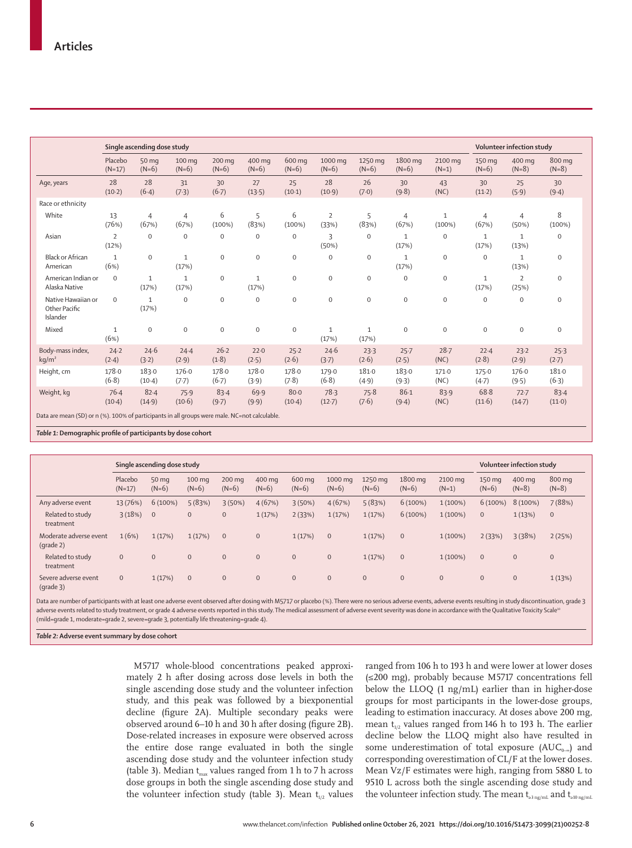|                                                 | Single ascending dose study |                         |                                |                   |                       |                      |                       |                       |                         | Volunteer infection study |                         |                         |                   |
|-------------------------------------------------|-----------------------------|-------------------------|--------------------------------|-------------------|-----------------------|----------------------|-----------------------|-----------------------|-------------------------|---------------------------|-------------------------|-------------------------|-------------------|
|                                                 | Placebo<br>$(N=17)$         | 50 mg<br>$(N=6)$        | $100 \,\mathrm{mg}$<br>$(N=6)$ | 200 mg<br>$(N=6)$ | 400 mg<br>$(N=6)$     | 600 mg<br>$(N=6)$    | 1000 mg<br>$(N=6)$    | 1250 mg<br>$(N=6)$    | 1800 mg<br>$(N=6)$      | 2100 mg<br>$(N=1)$        | 150 mg<br>$(N=6)$       | 400 mg<br>$(N=8)$       | 800 mg<br>$(N=8)$ |
| Age, years                                      | 28<br>(10.2)                | 28<br>(6.4)             | 31<br>(7.3)                    | 30<br>(6.7)       | 27<br>(13.5)          | 25<br>(10.1)         | 28<br>(10.9)          | 26<br>(7.0)           | 30<br>(9.8)             | 43<br>(NC)                | 30<br>$(11-2)$          | 25<br>(5.9)             | 30<br>(9.4)       |
| Race or ethnicity                               |                             |                         |                                |                   |                       |                      |                       |                       |                         |                           |                         |                         |                   |
| White                                           | 13<br>(76%)                 | $\overline{4}$<br>(67%) | $\overline{4}$<br>(67%)        | 6<br>(100%)       | 5<br>(83%)            | 6<br>$(100\%)$       | 2<br>(33%)            | 5<br>(83%)            | $\overline{4}$<br>(67%) | $\mathbf{1}$<br>(100%)    | $\overline{4}$<br>(67%) | $\overline{4}$<br>(50%) | 8<br>$(100\%)$    |
| Asian                                           | $\overline{2}$<br>(12%)     | $\Omega$                | $\mathbf 0$                    | $\mathbf{0}$      | $\bf{0}$              | $\mathbf 0$          | 3<br>(50%)            | $\mathbf 0$           | $\mathbf{1}$<br>(17%)   | $\mathbf 0$               | $\mathbf{1}$<br>(17%)   | $\mathbf{1}$<br>(13%)   | $\boldsymbol{0}$  |
| <b>Black or African</b><br>American             | $\mathbf{1}$<br>(6%)        | $\mathbf 0$             | $\mathbf{1}$<br>(17%)          | $\mathbf{0}$      | $\mathbf 0$           | $\mathbf 0$          | $\mathbf 0$           | $\Omega$              | $\mathbf{1}$<br>(17%)   | $\mathbf 0$               | $\mathbf 0$             | $\mathbf{1}$<br>(13%)   | $\mathbf 0$       |
| American Indian or<br>Alaska Native             | $\mathbf 0$                 | $\mathbf{1}$<br>(17%)   | $\mathbf{1}$<br>(17%)          | $\mathbf{O}$      | $\mathbf{1}$<br>(17%) | $\mathbf 0$          | $\mathbf{0}$          | $\mathbf 0$           | $\mathbf{0}$            | $\mathbf 0$               | 1<br>(17%)              | $\overline{2}$<br>(25%) | $\mathbf 0$       |
| Native Hawaiian or<br>Other Pacific<br>Islander | $\mathbf 0$                 | $\mathbf{1}$<br>(17%)   | $\mathbf{0}$                   | $\mathbf{0}$      | $\mathsf{O}\xspace$   | $\mathbf 0$          | $\mathbf 0$           | $\mathbf{0}$          | $\mathbf 0$             | $\mathbf{O}$              | $\mathbf 0$             | $\mathbf 0$             | $\mathbf 0$       |
| Mixed                                           | $\mathbf{1}$<br>(6%)        | $\mathbf 0$             | $\mathbf 0$                    | $\mathbf{O}$      | $\mathsf{O}\xspace$   | $\mathbf 0$          | $\mathbf{1}$<br>(17%) | $\mathbf{1}$<br>(17%) | $\mathbf 0$             | $\mathbf 0$               | $\mathbf 0$             | $\mathbf{0}$            | $\mathbf 0$       |
| Body-mass index,<br>$kq/m^2$                    | $24 - 2$<br>(2.4)           | 24.6<br>(3.2)           | 24.4<br>(2.9)                  | 26.2<br>(1.8)     | 22.0<br>(2.5)         | 25.2<br>(2.6)        | 24.6<br>(3.7)         | 23.3<br>(2.6)         | $25 - 7$<br>(2.5)       | $28 - 7$<br>(NC)          | 22.4<br>(2.8)           | 23.2<br>(2.9)           | 25.3<br>$(2-7)$   |
| Height, cm                                      | 178.0<br>(6.8)              | 183.0<br>$(10-4)$       | 176.0<br>(7.7)                 | 178.0<br>(6.7)    | 178.0<br>(3.9)        | 178.0<br>(7.8)       | 179.0<br>(6.8)        | 181.0<br>(4.9)        | 183.0<br>(9.3)          | 171.0<br>(NC)             | 175.0<br>$(4-7)$        | 176.0<br>(9.5)          | 1810<br>(6.3)     |
| Weight, kg                                      | $76-4$<br>$(10-4)$          | $82 - 4$<br>(14.9)      | 75.9<br>(10.6)                 | 83.4<br>(9.7)     | 69.9<br>(9.9)         | $80 - 0$<br>$(10-4)$ | 78.3<br>$(12-7)$      | 75.8<br>(7.6)         | $86 - 1$<br>(9.4)       | 83.9<br>(NC)              | 68.8<br>(11.6)          | $72 - 7$<br>$(14-7)$    | 83.4<br>(11.0)    |

*Table 1:* **Demographic profile of participants by dose cohort**

|                                               | Single ascending dose study |                  |                             |                   |                   |                   |                    |                    |                    |                    | Volunteer infection study |                   |                   |
|-----------------------------------------------|-----------------------------|------------------|-----------------------------|-------------------|-------------------|-------------------|--------------------|--------------------|--------------------|--------------------|---------------------------|-------------------|-------------------|
|                                               | Placebo<br>$(N=17)$         | 50 mg<br>$(N=6)$ | $100 \text{ mg}$<br>$(N=6)$ | 200 mg<br>$(N=6)$ | 400 mg<br>$(N=6)$ | 600 mg<br>$(N=6)$ | 1000 mg<br>$(N=6)$ | 1250 mg<br>$(N=6)$ | 1800 mg<br>$(N=6)$ | 2100 mg<br>$(N=1)$ | 150 mg<br>$(N=6)$         | 400 mg<br>$(N=8)$ | 800 mg<br>$(N=8)$ |
| Any adverse event                             | 13 (76%)                    | $6(100\%)$       | 5(83%)                      | 3(50%)            | 4(67%)            | 3(50%)            | 4(67%)             | 5(83%)             | 6(100%)            | $1(100\%)$         | 6(100%)                   | 8 (100%)          | 7 (88%)           |
| Related to study<br>treatment                 | $3(18%)$ 0                  |                  | $\mathbf{0}$                | $\mathbf{0}$      | 1(17%)            | 2(33%)            | 1(17%)             | 1(17%)             | 6(100%)            | $1(100\%)$         | $\mathbf{0}$              | 1(13%)            | $\mathbf{0}$      |
| Moderate adverse event<br>$(\text{grade } 2)$ | 1(6%)                       | 1(17%)           | 1(17%)                      | $\mathbf{0}$      | $\mathbf{0}$      | 1(17%)            | $\mathbf{0}$       | 1(17%)             | $\mathbf{0}$       | $1(100\%)$         | 2(33%)                    | 3(38%)            | 2(25%)            |
| Related to study<br>treatment                 | $\overline{0}$              | $\mathbf{0}$     | $\mathbf{0}$                | $\mathbf{0}$      | $\mathbf{0}$      | $\overline{0}$    | $\mathbf{0}$       | 1(17%)             | $\mathbf{0}$       | $1(100\%)$         | $\mathbf{0}$              | $\mathbf{0}$      | $\mathbf{0}$      |
| Severe adverse event<br>$(grade 3)$           | $\overline{0}$              | 1(17%)           | $\mathbf{0}$                | $\mathbf{0}$      | $\mathbf{0}$      | $\overline{0}$    | $\mathbf{0}$       | $\mathbf{0}$       | $\mathbf{0}$       | $\mathbf{0}$       | $\mathbf{0}$              | $\mathbf{0}$      | 1(13%)            |

Data are number of participants with at least one adverse event observed after dosing with M5717 or placebo (%). There were no serious adverse events, adverse events resulting in study discontinuation, grade 3 adverse events related to study treatment, or grade 4 adverse events reported in this study. The medical assessment of adverse event severity was done in accordance with the Qualitative Toxicity Scale<sup>16</sup> (mild=grade 1, moderate=grade 2, severe=grade 3, potentially life threatening=grade 4).

*Table 2:* **Adverse event summary by dose cohort**

M5717 whole-blood concentrations peaked approximately 2 h after dosing across dose levels in both the single ascending dose study and the volunteer infection study, and this peak was followed by a biexponential decline (figure 2A). Multiple secondary peaks were observed around 6–10 h and 30 h after dosing (figure 2B). Dose-related increases in exposure were observed across the entire dose range evaluated in both the single ascending dose study and the volunteer infection study (table 3). Median  $t_{max}$  values ranged from 1 h to 7 h across dose groups in both the single ascending dose study and the volunteer infection study (table 3). Mean  $t_{1/2}$  values ranged from 106 h to 193 h and were lower at lower doses (≤200 mg), probably because M5717 concentrations fell below the LLOQ (1 ng/mL) earlier than in higher-dose groups for most participants in the lower-dose groups, leading to estimation inaccuracy. At doses above 200 mg, mean  $t_{1/2}$  values ranged from 146 h to 193 h. The earlier decline below the LLOQ might also have resulted in some underestimation of total exposure ( $AUC_{0-∞}$ ) and corresponding overestimation of CL/F at the lower doses. Mean Vz/F estimates were high, ranging from 5880 L to 9510 L across both the single ascending dose study and the volunteer infection study. The mean  $t_{\text{a3 ng/mL}}$  and  $t_{\text{a10 ng/mL}}$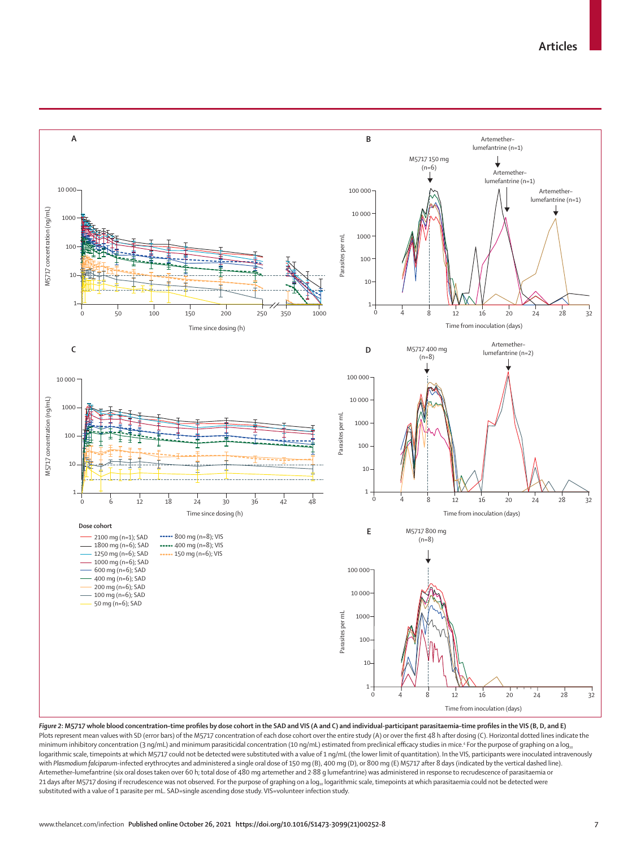

*Figure 2***: M5717 whole blood concentration–time profiles by dose cohort in the SAD and VIS (A and C) and individual-participant parasitaemia–time profiles in the VIS (B, D, and E)** Plots represent mean values with SD (error bars) of the M5717 concentration of each dose cohort over the entire study (A) or over the first 48 h after dosing (C). Horizontal dotted lines indicate the minimum inhibitory concentration (3 ng/mL) and minimum parasiticidal concentration (10 ng/mL) estimated from preclinical efficacy studies in mice.<sup>4</sup> For the purpose of graphing on a log<sub>10</sub> logarithmic scale, timepoints at which M5717 could not be detected were substituted with a value of 1 ng/mL (the lower limit of quantitation). In the VIS, participants were inoculated intravenously with Plasmodium falciparum-infected erythrocytes and administered a single oral dose of 150 mg (B), 400 mg (D), or 800 mg (E) M5717 after 8 days (indicated by the vertical dashed line). Artemether–lumefantrine (six oral doses taken over 60 h; total dose of 480 mg artemether and 2·88 g lumefantrine) was administered in response to recrudescence of parasitaemia or 21 days after M5717 dosing if recrudescence was not observed. For the purpose of graphing on a  $\log_{10}$  logarithmic scale, timepoints at which parasitaemia could not be detected were substituted with a value of 1 parasite per mL. SAD=single ascending dose study. VIS=volunteer infection study.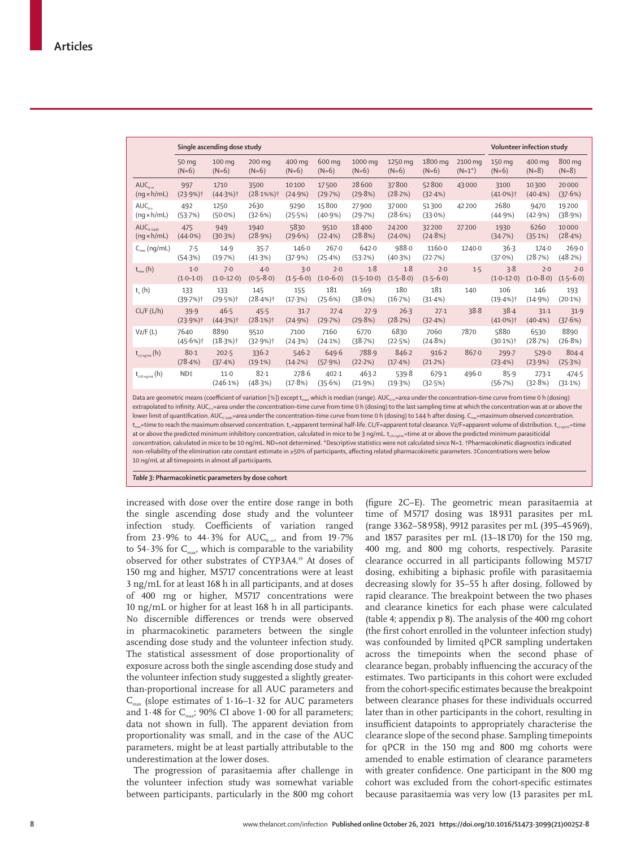|                                        | Single ascending dose study    |                                |                                 |                     |                      |                       |                      |                      |                      |                                 | Volunteer infection study |                      |  |
|----------------------------------------|--------------------------------|--------------------------------|---------------------------------|---------------------|----------------------|-----------------------|----------------------|----------------------|----------------------|---------------------------------|---------------------------|----------------------|--|
|                                        | 50 mg<br>$(N=6)$               | 100 mg<br>$(N=6)$              | 200 mg<br>$(N=6)$               | 400 mg<br>$(N=6)$   | 600 mg<br>$(N=6)$    | 1000 mg<br>$(N=6)$    | 1250 mg<br>$(N=6)$   | 1800 mg<br>$(N=6)$   | 2100 mg<br>$(N=1^*)$ | 150 mg<br>$(N=6)$               | 400 mg<br>$(N=8)$         | 800 mg<br>$(N=8)$    |  |
| $AUC_{0-\infty}$<br>$(nq \times h/mL)$ | 997<br>$(23.9%)$ †             | 1710<br>$(44.3%)$ †            | 3500<br>$(28.1\%%)$ †           | 10100<br>(24.9%)    | 17500<br>(29.7%)     | 28600<br>(29.8%)      | 37800<br>(28.2%)     | 52800<br>(32.4%)     | 43000                | 3100<br>$(41.0\%)$ <sup>†</sup> | 10300<br>$(40.4\%)$       | 20000<br>(37.6%)     |  |
| $AUC_{n,*}$<br>$(nq \times h/mL)$      | 492<br>(53.7%)                 | 1250<br>$(50.0\%)$             | 2630<br>(32.6%)                 | 9290<br>(25.5%)     | 15800<br>$(40.9\%)$  | 27900<br>(29.7%)      | 37000<br>(28.6%)     | 51300<br>$(33.0\%)$  | 42 200               | 2680<br>(44.9%)                 | 9470<br>(42.9%)           | 19200<br>(38.9%)     |  |
| $AUC_{0-144h}$<br>$(nq \times h/mL)$   | 475<br>$(44.0\%)$              | 949<br>(30.3%)                 | 1940<br>(28.9%)                 | 5830<br>(29.6%)     | 9510<br>(22.4%)      | 18400<br>(28.8%)      | 24200<br>$(24.0\%)$  | 32200<br>(24.8%)     | 27200                | 1930<br>(34.7%)                 | 6260<br>(35.1%)           | 10000<br>(28.4%)     |  |
| $C_{\text{max}}$ (ng/mL)               | 7.5<br>(54.3%)                 | 14.9<br>(19.7%)                | $35 - 7$<br>(41.3%)             | 146.0<br>(37.9%)    | 267·0<br>(25.4%)     | 642.0<br>(53.2%)      | 988.0<br>(40.3%)     | 1160.0<br>(22.7%)    | 1240.0               | 36.3<br>$(37.0\%)$              | 174.0<br>(28.7%)          | 269.0<br>(48.2%)     |  |
| $t_{\text{max}}(h)$                    | $1-0$<br>$(1.0 - 1.0)$         | 7.0<br>$(1.0 - 12.0)$          | $4-0$<br>$(0.5 - 8.0)$          | 3.0<br>$(1.5-6.0)$  | 2.0<br>$(1.0 - 6.0)$ | 1.8<br>$(1.5 - 10.0)$ | 1.8<br>$(1.5 - 8.0)$ | 2.0<br>$(1.5 - 6.0)$ | 1.5                  | 3.8<br>$(1.0 - 12.0)$           | 2.0<br>$(1.0 - 8.0)$      | 2.0<br>$(1.5 - 6.0)$ |  |
| $t_{\kappa}$ (h)                       | 133<br>$(39.7%)$ <sup>†</sup>  | 133<br>$(29.5%)$ †             | 145<br>$(28.4%)$ †              | 155<br>(17.3%)      | 181<br>(25.6%)       | 169<br>(38.0%)        | 180<br>(16.7%)       | 181<br>(31.4%)       | 140                  | 106<br>$(19.4%)$ <sup>†</sup>   | 146<br>(14.9%)            | 193<br>(20.1%)       |  |
| CL/F(L/h)                              | 39.9<br>$(23.9%)$ <sup>†</sup> | 46.5<br>$(44.3%)$ <sup>†</sup> | 45.5<br>$(28.1\%)$ <sup>†</sup> | $31 - 7$<br>(24.9%) | 27.4<br>(29.7%)      | 27.9<br>(29.8%)       | 26.3<br>(28.2%)      | 27.1<br>(32.4%)      | 38.8                 | 38.4<br>$(41.0\%)$ <sup>†</sup> | $31-1$<br>$(40.4\%)$      | 31.9<br>(37.6%)      |  |
| Vz/F(L)                                | 7640<br>$(45.6%)$ †            | 8890<br>$(18.3%)$ †            | 9510<br>$(32.9%)$ <sup>+</sup>  | 7100<br>(24.3%)     | 7160<br>(24.1%)      | 6770<br>(38.7%)       | 6830<br>(22.5%)      | 7060<br>(24.8%)      | 7870                 | 5880<br>$(30.1%)$ <sup>†</sup>  | 6530<br>(28.7%)           | 8890<br>(26.8%)      |  |
| $t_{\rm m2\,m}$ (h)                    | 80-1<br>(78.4%)                | $202 - 5$<br>(37.4%)           | 336.2<br>(19.1%)                | 546.2<br>(14.2%)    | 649.6<br>(57.9%)     | 788.9<br>(22.2%)      | 846.2<br>$(17.4\%)$  | 916.2<br>(21.2%)     | 867.0                | 299.7<br>(23.4%)                | 529.0<br>(23.9%)          | $804 - 4$<br>(25.3%) |  |
| $t_{\rm sub}(\mathsf{h})$              | $ND+$                          | 11.0<br>(246.1%)               | $82 - 1$<br>(48.3%)             | 278.6<br>(17.8%)    | 402.1<br>(35.6%)     | 463.2<br>(21.9%)      | 539.8<br>(19.3%)     | 679.1<br>(32.5%)     | 496.0                | 85.9<br>(56.7%)                 | 273.1<br>(32.8%)          | 474.5<br>$(31.1\%)$  |  |
|                                        |                                |                                |                                 |                     |                      |                       |                      |                      |                      |                                 |                           |                      |  |

Data are geometric means (coefficient of variation [%]) except  $t_{\text{max}}$  which is median (range). AUC<sub>0∞</sub>=area under the concentration–time curve from time 0 h (dosing) extrapolated to infinity. AUC<sub>0+</sub>=area under the concentration-time curve from time 0 h (dosing) to the last sampling time at which the concentration was at or above the lower limit of quantification. AUC<sub>0-144h</sub>=area under the concentration–time curve from time 0 h (dosing) to 144 h after dosing. C<sub>max</sub>=maximum observed concentration. t<sub>max</sub>=time to reach the maximum observed concentration. t<sub>x</sub>=apparent terminal half-life. CL/F=apparent total clearance. Vz/F=apparent volume of distribution. t<sub>x animi</sub>=time at or above the predicted minimum inhibitory concentration, calculated in mice to be 3 ng/mL. t<sub>alongmi</sub> time at or above the predicted minimum parasiticidal concentration, calculated in mice to be 10 ng/mL. ND=not determined. \*Descriptive statistics were not calculated since N=1. †Pharmacokinetic diagnostics indicated non-reliability of the elimination rate constant estimate in ≥50% of participants, affecting related pharmacokinetic parameters. ‡Concentrations were below

10 ng/mL at all timepoints in almost all participants.

*Table 3:* **Pharmacokinetic parameters by dose cohort**

increased with dose over the entire dose range in both the single ascending dose study and the volunteer infection study. Coefficients of variation ranged from 23∙9% to 44∙3% for AUC<sub>0–∞</sub>, and from 19∙7% to 54⋅3% for C<sub>max</sub>, which is comparable to the variability observed for other substrates of CYP3A4.19 At doses of 150 mg and higher, M5717 concentrations were at least 3 ng/mL for at least 168 h in all participants, and at doses of 400 mg or higher, M5717 concentrations were 10 ng/mL or higher for at least 168 h in all participants. No discernible differences or trends were observed in pharmacokinetic parameters between the single ascending dose study and the volunteer infection study. The statistical assessment of dose proportionality of exposure across both the single ascending dose study and the volunteer infection study suggested a slightly greaterthan-proportional increase for all AUC parameters and  $C_{\text{max}}$  (slope estimates of 1⋅16–1⋅32 for AUC parameters and 1⋅48 for C<sub>max</sub>; 90% CI above 1⋅00 for all parameters; data not shown in full). The apparent deviation from proportionality was small, and in the case of the AUC parameters, might be at least partially attributable to the underestimation at the lower doses.

The progression of parasitaemia after challenge in the volunteer infection study was somewhat variable between participants, particularly in the 800 mg cohort

(figure 2C–E). The geometric mean parasitaemia at time of M5717 dosing was 18931 parasites per mL (range 3362–58958), 9912 parasites per mL (395–45 969), and 1857 parasites per mL (13–18170) for the 150 mg, 400 mg, and 800 mg cohorts, respectively. Parasite clearance occurred in all participants following M5717 dosing, exhibiting a biphasic profile with parasitaemia decreasing slowly for 35–55 h after dosing, followed by rapid clearance. The breakpoint between the two phases and clearance kinetics for each phase were calculated (table 4; appendix p 8). The analysis of the 400 mg cohort (the first cohort enrolled in the volunteer infection study) was confounded by limited qPCR sampling undertaken across the timepoints when the second phase of clearance began, probably influencing the accuracy of the estimates. Two participants in this cohort were excluded from the cohort-specific estimates because the breakpoint between clearance phases for these individuals occurred later than in other participants in the cohort, resulting in insufficient datapoints to appropriately characterise the clearance slope of the second phase. Sampling timepoints for qPCR in the 150 mg and 800 mg cohorts were amended to enable estimation of clearance parameters with greater confidence. One participant in the 800 mg cohort was excluded from the cohort-specific estimates because parasitaemia was very low (13 parasites per mL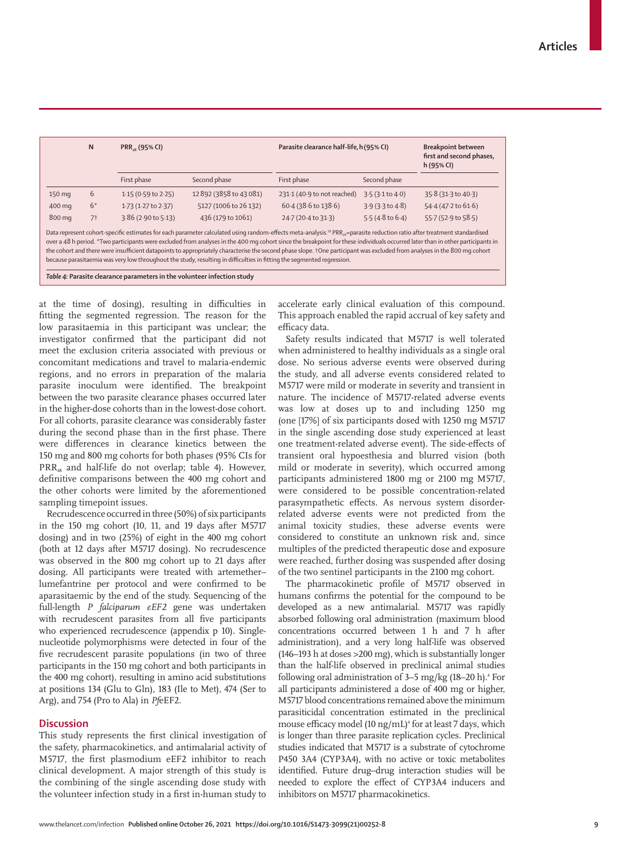|                                                                                                                                                                                                                                                                                                                                                                                                                                                                                                                                                                                                                                                                                           | N                                                                       | PRR <sub>48</sub> (95% CI)    |                       | Parasite clearance half-life, h(95% CI) | <b>Breakpoint between</b><br>first and second phases,<br>h (95% CI) |                     |  |  |  |  |
|-------------------------------------------------------------------------------------------------------------------------------------------------------------------------------------------------------------------------------------------------------------------------------------------------------------------------------------------------------------------------------------------------------------------------------------------------------------------------------------------------------------------------------------------------------------------------------------------------------------------------------------------------------------------------------------------|-------------------------------------------------------------------------|-------------------------------|-----------------------|-----------------------------------------|---------------------------------------------------------------------|---------------------|--|--|--|--|
|                                                                                                                                                                                                                                                                                                                                                                                                                                                                                                                                                                                                                                                                                           |                                                                         | First phase                   | Second phase          | First phase                             | Second phase                                                        |                     |  |  |  |  |
| 150 mg                                                                                                                                                                                                                                                                                                                                                                                                                                                                                                                                                                                                                                                                                    | 6                                                                       | $1.15(0.59 \text{ to } 2.25)$ | 12892 (3858 to 43081) | 231.1 (40.9 to not reached)             | 3.5(3.1 to 4.0)                                                     | 35.8 (31.3 to 40.3) |  |  |  |  |
| 400 mg                                                                                                                                                                                                                                                                                                                                                                                                                                                                                                                                                                                                                                                                                    | $6*$                                                                    | 1.73 (1.27 to 2.37)           | 5127 (1006 to 26 132) | 60.4 (38.6 to 138.6)                    | $3.9$ (3.3 to 4.8)                                                  | 54.4 (47.2 to 61.6) |  |  |  |  |
| 800 mg                                                                                                                                                                                                                                                                                                                                                                                                                                                                                                                                                                                                                                                                                    | 7 <sup>†</sup>                                                          | $3.86$ (2.90 to 5.13)         | 436 (179 to 1061)     | 24.7 (20.4 to 31.3)                     | $5.5(4.8 \text{ to } 6.4)$                                          | 55.7 (52.9 to 58.5) |  |  |  |  |
| Data represent cohort-specific estimates for each parameter calculated using random-effects meta-analysis. <sup>18</sup> PRR <sub>sa</sub> =parasite reduction ratio after treatment standardised<br>over a 48 h period. *Two participants were excluded from analyses in the 400 mq cohort since the breakpoint for these individuals occurred later than in other participants in<br>the cohort and there were insufficient datapoints to appropriately characterise the second phase slope. +One participant was excluded from analyses in the 800 mg cohort<br>because parasitaemia was very low throughout the study, resulting in difficulties in fitting the segmented regression. |                                                                         |                               |                       |                                         |                                                                     |                     |  |  |  |  |
|                                                                                                                                                                                                                                                                                                                                                                                                                                                                                                                                                                                                                                                                                           | Table 4: Parasite clearance parameters in the volunteer infection study |                               |                       |                                         |                                                                     |                     |  |  |  |  |

at the time of dosing), resulting in difficulties in fitting the segmented regression. The reason for the low parasitaemia in this participant was unclear; the investigator confirmed that the participant did not meet the exclusion criteria associated with previous or concomitant medications and travel to malaria-endemic regions, and no errors in preparation of the malaria parasite inoculum were identified. The breakpoint between the two parasite clearance phases occurred later in the higher-dose cohorts than in the lowest-dose cohort. For all cohorts, parasite clearance was considerably faster during the second phase than in the first phase. There were differences in clearance kinetics between the 150 mg and 800 mg cohorts for both phases (95% CIs for PRR<sub>48</sub> and half-life do not overlap; table 4). However, definitive comparisons between the 400 mg cohort and the other cohorts were limited by the aforementioned sampling timepoint issues.

Recrudescence occurred in three (50%) of six participants in the 150 mg cohort (10, 11, and 19 days after M5717 dosing) and in two (25%) of eight in the 400 mg cohort (both at 12 days after M5717 dosing). No recrudescence was observed in the 800 mg cohort up to 21 days after dosing. All participants were treated with artemether– lumefantrine per protocol and were confirmed to be aparasitaemic by the end of the study. Sequencing of the full-length *P falciparum eEF2* gene was undertaken with recrudescent parasites from all five participants who experienced recrudescence (appendix p 10). Singlenucleotide polymorphisms were detected in four of the five recrudescent parasite populations (in two of three participants in the 150 mg cohort and both participants in the 400 mg cohort), resulting in amino acid substitutions at positions 134 (Glu to Gln), 183 (Ile to Met), 474 (Ser to Arg), and 754 (Pro to Ala) in *Pf*eEF2.

## **Discussion**

This study represents the first clinical investigation of the safety, pharmacokinetics, and antimalarial activity of M5717, the first plasmodium eEF2 inhibitor to reach clinical development. A major strength of this study is the combining of the single ascending dose study with the volunteer infection study in a first in-human study to accelerate early clinical evaluation of this compound. This approach enabled the rapid accrual of key safety and efficacy data.

Safety results indicated that M5717 is well tolerated when administered to healthy individuals as a single oral dose. No serious adverse events were observed during the study, and all adverse events considered related to M5717 were mild or moderate in severity and transient in nature. The incidence of M5717-related adverse events was low at doses up to and including 1250 mg (one [17%] of six participants dosed with 1250 mg M5717 in the single ascending dose study experienced at least one treatment-related adverse event). The side-effects of transient oral hypoesthesia and blurred vision (both mild or moderate in severity), which occurred among participants administered 1800 mg or 2100 mg M5717, were considered to be possible concentration-related parasympathetic effects. As nervous system disorderrelated adverse events were not predicted from the animal toxicity studies, these adverse events were considered to constitute an unknown risk and, since multiples of the predicted therapeutic dose and exposure were reached, further dosing was suspended after dosing of the two sentinel participants in the 2100 mg cohort.

The pharmacokinetic profile of M5717 observed in humans confirms the potential for the compound to be developed as a new antimalarial. M5717 was rapidly absorbed following oral administration (maximum blood concentrations occurred between 1 h and 7 h after administration), and a very long half-life was observed (146–193 h at doses >200 mg), which is substantially longer than the half-life observed in preclinical animal studies following oral administration of  $3-5$  mg/kg (18-20 h).<sup>4</sup> For all participants administered a dose of 400 mg or higher, M5717 blood concentrations remained above the minimum parasiticidal concentration estimated in the preclinical mouse efficacy model  $(10 \text{ ng/mL})^4$  for at least 7 days, which is longer than three parasite replication cycles. Preclinical studies indicated that M5717 is a substrate of cytochrome P450 3A4 (CYP3A4), with no active or toxic metabolites identified. Future drug–drug interaction studies will be needed to explore the effect of CYP3A4 inducers and inhibitors on M5717 pharmacokinetics.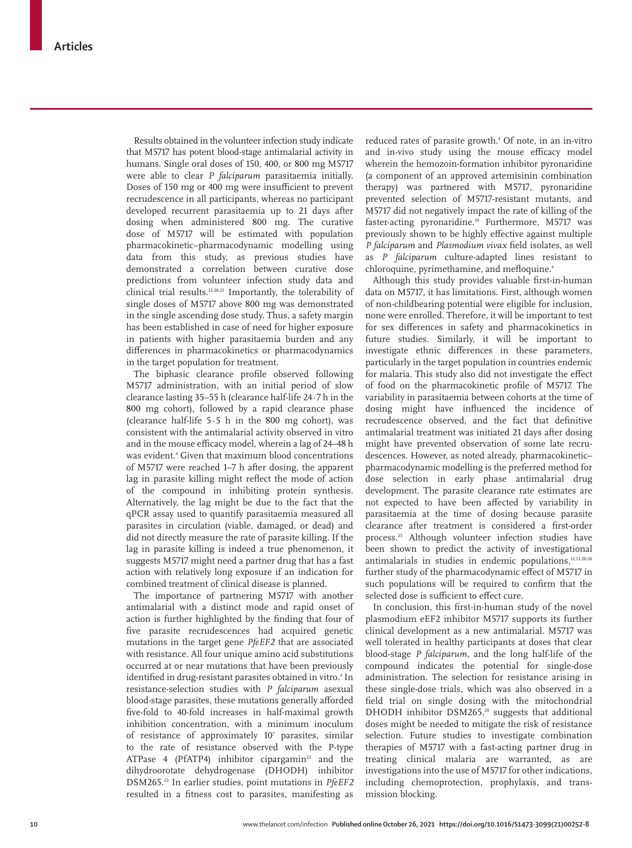Results obtained in the volunteer infection study indicate that M5717 has potent blood-stage antimalarial activity in humans. Single oral doses of 150, 400, or 800 mg M5717 were able to clear *P falciparum* parasitaemia initially. Doses of 150 mg or 400 mg were insufficient to prevent recrudescence in all participants, whereas no participant developed recurrent parasitaemia up to 21 days after dosing when administered 800 mg. The curative dose of M5717 will be estimated with population pharmacokinetic–pharmacodynamic modelling using data from this study, as previous studies have demonstrated a correlation between curative dose predictions from volunteer infection study data and clinical trial results.13,20,21 Importantly, the tolerability of single doses of M5717 above 800 mg was demonstrated in the single ascending dose study. Thus, a safety margin has been established in case of need for higher exposure in patients with higher parasitaemia burden and any differences in pharmacokinetics or pharmacodynamics in the target population for treatment.

The biphasic clearance profile observed following M5717 administration, with an initial period of slow clearance lasting 35–55 h (clearance half-life 24∙7 h in the 800 mg cohort), followed by a rapid clearance phase (clearance half-life 5∙5 h in the 800 mg cohort), was consistent with the antimalarial activity observed in vitro and in the mouse efficacy model, wherein a lag of 24–48 h was evident.4 Given that maximum blood concentrations of M5717 were reached 1–7 h after dosing, the apparent lag in parasite killing might reflect the mode of action of the compound in inhibiting protein synthesis. Alternatively, the lag might be due to the fact that the qPCR assay used to quantify parasitaemia measured all parasites in circulation (viable, damaged, or dead) and did not directly measure the rate of parasite killing. If the lag in parasite killing is indeed a true phenomenon, it suggests M5717 might need a partner drug that has a fast action with relatively long exposure if an indication for combined treatment of clinical disease is planned.

The importance of partnering M5717 with another antimalarial with a distinct mode and rapid onset of action is further highlighted by the finding that four of five parasite recrudescences had acquired genetic mutations in the target gene *PfeEF2* that are associated with resistance. All four unique amino acid substitutions occurred at or near mutations that have been previously identified in drug-resistant parasites obtained in vitro.<sup>4</sup> In resistance-selection studies with *P falciparum* asexual blood-stage parasites, these mutations generally afforded five-fold to 40-fold increases in half-maximal growth inhibition concentration, with a minimum inoculum of resistance of approximately 10<sup>7</sup> parasites, similar to the rate of resistance observed with the P-type ATPase 4 (PfATP4) inhibitor cipargamin<sup>22</sup> and the dihydroorotate dehydrogenase (DHODH) inhibitor DSM265.23 In earlier studies, point mutations in *PfeEF2* resulted in a fitness cost to parasites, manifesting as

reduced rates of parasite growth.4 Of note, in an in-vitro and in-vivo study using the mouse efficacy model wherein the hemozoin-formation inhibitor pyronaridine (a component of an approved artemisinin combination therapy) was partnered with M5717, pyronaridine prevented selection of M5717-resistant mutants, and M5717 did not negatively impact the rate of killing of the faster-acting pyronaridine.<sup>24</sup> Furthermore, M5717 was previously shown to be highly effective against multiple *P falciparum* and *Plasmodium vivax* field isolates, as well as *P falciparum* culture-adapted lines resistant to chloroquine, pyrimethamine, and mefloquine.<sup>4</sup>

Although this study provides valuable first-in-human data on M5717, it has limitations. First, although women of non-childbearing potential were eligible for inclusion, none were enrolled. Therefore, it will be important to test for sex differences in safety and pharmacokinetics in future studies. Similarly, it will be important to investigate ethnic differences in these parameters, particularly in the target population in countries endemic for malaria. This study also did not investigate the effect of food on the pharmacokinetic profile of M5717. The variability in parasitaemia between cohorts at the time of dosing might have influenced the incidence of recrudescence observed, and the fact that definitive antimalarial treatment was initiated 21 days after dosing might have prevented observation of some late recrudescences. However, as noted already, pharmacokinetic– pharmacodynamic modelling is the preferred method for dose selection in early phase antimalarial drug development. The parasite clearance rate estimates are not expected to have been affected by variability in parasitaemia at the time of dosing because parasite clearance after treatment is considered a first-order process.25 Although volunteer infection studies have been shown to predict the activity of investigational antimalarials in studies in endemic populations, $12,13,20,26$ further study of the pharmacodynamic effect of M5717 in such populations will be required to confirm that the selected dose is sufficient to effect cure.

In conclusion, this first-in-human study of the novel plasmodium eEF2 inhibitor M5717 supports its further clinical development as a new antimalarial. M5717 was well tolerated in healthy participants at doses that clear blood-stage *P falciparum,* and the long half-life of the compound indicates the potential for single-dose administration. The selection for resistance arising in these single-dose trials, which was also observed in a field trial on single dosing with the mitochondrial DHODH inhibitor DSM265,<sup>20</sup> suggests that additional doses might be needed to mitigate the risk of resistance selection. Future studies to investigate combination therapies of M5717 with a fast-acting partner drug in treating clinical malaria are warranted, as are investigations into the use of M5717 for other indications, including chemoprotection, prophylaxis, and transmission blocking.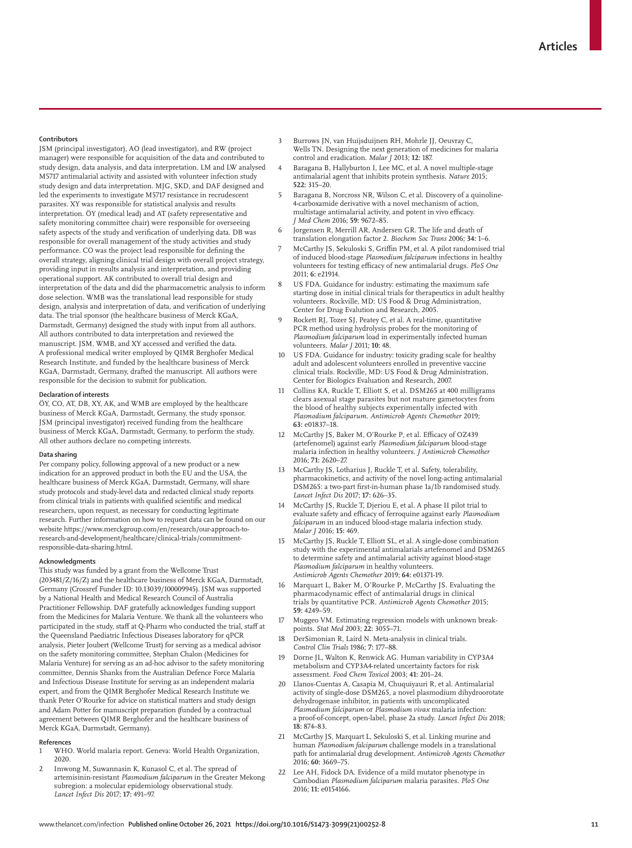#### **Contributors**

JSM (principal investigator), AO (lead investigator), and RW (project manager) were responsible for acquisition of the data and contributed to study design, data analysis, and data interpretation. LM and LW analysed M5717 antimalarial activity and assisted with volunteer infection study study design and data interpretation. MJG, SKD, and DAF designed and led the experiments to investigate M5717 resistance in recrudescent parasites. XY was responsible for statistical analysis and results interpretation. ÖY (medical lead) and AT (safety representative and safety monitoring committee chair) were responsible for overseeing safety aspects of the study and verification of underlying data. DB was responsible for overall management of the study activities and study performance. CO was the project lead responsible for defining the overall strategy, aligning clinical trial design with overall project strategy, providing input in results analysis and interpretation, and providing operational support. AK contributed to overall trial design and interpretation of the data and did the pharmacometric analysis to inform dose selection. WMB was the translational lead responsible for study design, analysis and interpretation of data, and verification of underlying data. The trial sponsor (the healthcare business of Merck KGaA, Darmstadt, Germany) designed the study with input from all authors. All authors contributed to data interpretation and reviewed the manuscript. JSM, WMB, and XY accessed and verified the data. A professional medical writer employed by QIMR Berghofer Medical Research Institute, and funded by the healthcare business of Merck KGaA, Darmstadt, Germany, drafted the manuscript. All authors were responsible for the decision to submit for publication.

#### **Declaration of interests**

ÖY, CO, AT, DB, XY, AK, and WMB are employed by the healthcare business of Merck KGaA, Darmstadt, Germany, the study sponsor. JSM (principal investigator) received funding from the healthcare business of Merck KGaA, Darmstadt, Germany, to perform the study. All other authors declare no competing interests.

## **Data sharing**

Per company policy, following approval of a new product or a new indication for an approved product in both the EU and the USA, the healthcare business of Merck KGaA, Darmstadt, Germany, will share study protocols and study-level data and redacted clinical study reports from clinical trials in patients with qualified scientific and medical researchers, upon request, as necessary for conducting legitimate research. Further information on how to request data can be found on our website https://www.merckgroup.com/en/research/our-approach-toresearch-and-development/healthcare/clinical-trials/commitmentresponsible-data-sharing.html.

#### **Acknowledgments**

This study was funded by a grant from the Wellcome Trust (203481/Z/16/Z) and the healthcare business of Merck KGaA, Darmstadt, Germany (Crossref Funder ID: 10.13039/100009945). JSM was supported by a National Health and Medical Research Council of Australia Practitioner Fellowship. DAF gratefully acknowledges funding support from the Medicines for Malaria Venture. We thank all the volunteers who participated in the study, staff at Q-Pharm who conducted the trial, staff at the Queensland Paediatric Infectious Diseases laboratory for qPCR analysis, Pieter Joubert (Wellcome Trust) for serving as a medical advisor on the safety monitoring committee, Stephan Chalon (Medicines for Malaria Venture) for serving as an ad-hoc advisor to the safety monitoring committee, Dennis Shanks from the Australian Defence Force Malaria and Infectious Disease Institute for serving as an independent malaria expert, and from the QIMR Berghofer Medical Research Institute we thank Peter O'Rourke for advice on statistical matters and study design and Adam Potter for manuscript preparation (funded by a contractual agreement between QIMR Berghofer and the healthcare business of Merck KGaA, Darmstadt, Germany).

#### **References**

- 1 WHO. World malaria report. Geneva: World Health Organization, 2020.
- 2 Imwong M, Suwannasin K, Kunasol C, et al. The spread of artemisinin-resistant *Plasmodium falciparum* in the Greater Mekong subregion: a molecular epidemiology observational study. *Lancet Infect Dis* 2017; **17:** 491–97.
- Burrows JN, van Huijsduijnen RH, Mohrle JJ, Oeuvray C, Wells TN. Designing the next generation of medicines for malaria control and eradication. *Malar J* 2013; **12:** 187.
- Baragana B, Hallyburton I, Lee MC, et al. A novel multiple-stage antimalarial agent that inhibits protein synthesis. *Nature* 2015; **522:** 315–20.
- 5 Baragana B, Norcross NR, Wilson C, et al. Discovery of a quinoline-4-carboxamide derivative with a novel mechanism of action, multistage antimalarial activity, and potent in vivo efficacy. *J Med Chem* 2016; **59:** 9672–85.
- 6 Jorgensen R, Merrill AR, Andersen GR. The life and death of translation elongation factor 2. *Biochem Soc Trans* 2006; **34:** 1–6.
- 7 McCarthy JS, Sekuloski S, Griffin PM, et al. A pilot randomised trial of induced blood-stage *Plasmodium falciparum* infections in healthy volunteers for testing efficacy of new antimalarial drugs. *PloS One* 2011; **6:** e21914.
- US FDA. Guidance for industry: estimating the maximum safe starting dose in initial clinical trials for therapeutics in adult healthy volunteers. Rockville, MD: US Food & Drug Administration, Center for Drug Evalution and Research, 2005.
- Rockett RJ, Tozer SJ, Peatey C, et al. A real-time, quantitative PCR method using hydrolysis probes for the monitoring of *Plasmodium falciparum* load in experimentally infected human volunteers. *Malar J* 2011; **10:** 48.
- US FDA. Guidance for industry: toxicity grading scale for healthy adult and adolescent volunteers enrolled in preventive vaccine clinical trials. Rockville, MD: US Food & Drug Administration, Center for Biologics Evaluation and Research, 2007.
- Collins KA, Ruckle T, Elliott S, et al. DSM265 at 400 milligrams clears asexual stage parasites but not mature gametocytes from the blood of healthy subjects experimentally infected with *Plasmodium falciparum*. *Antimicrob Agents Chemother* 2019; **63:** e01837–18.
- 12 McCarthy JS, Baker M, O'Rourke P, et al. Efficacy of OZ439 (artefenomel) against early *Plasmodium falciparum* blood-stage malaria infection in healthy volunteers. *J Antimicrob Chemother* 2016; **71:** 2620–27.
- McCarthy JS, Lotharius J, Ruckle T, et al. Safety, tolerability, pharmacokinetics, and activity of the novel long-acting antimalarial DSM265: a two-part first-in-human phase 1a/1b randomised study. *Lancet Infect Dis* 2017; **17:** 626–35.
- McCarthy JS, Ruckle T, Djeriou E, et al. A phase II pilot trial to evaluate safety and efficacy of ferroquine against early *Plasmodium falciparum* in an induced blood-stage malaria infection study. *Malar J* 2016; **15:** 469.
- 15 McCarthy JS, Ruckle T, Elliott SL, et al. A single-dose combination study with the experimental antimalarials artefenomel and DSM265 to determine safety and antimalarial activity against blood-stage *Plasmodium falciparum* in healthy volunteers. *Antimicrob Agents Chemother* 2019; **64:** e01371-19.
- 16 Marquart L, Baker M, O'Rourke P, McCarthy JS. Evaluating the pharmacodynamic effect of antimalarial drugs in clinical trials by quantitative PCR. *Antimicrob Agents Chemother* 2015; **59:** 4249–59.
- 17 Muggeo VM. Estimating regression models with unknown breakpoints. *Stat Med* 2003; **22:** 3055–71.
- DerSimonian R, Laird N. Meta-analysis in clinical trials. *Control Clin Trials* 1986; **7:** 177–88.
- 19 Dorne JL, Walton K, Renwick AG. Human variability in CYP3A4 metabolism and CYP3A4-related uncertainty factors for risk assessment. *Food Chem Toxicol* 2003; **41:** 201–24.
- Llanos-Cuentas A, Casapia M, Chuquiyauri R, et al. Antimalarial activity of single-dose DSM265, a novel plasmodium dihydroorotate dehydrogenase inhibitor, in patients with uncomplicated *Plasmodium falciparum* or *Plasmodium vivax* malaria infection: a proof-of-concept, open-label, phase 2a study. *Lancet Infect Dis* 2018; **18:** 874–83.
- 21 McCarthy JS, Marquart L, Sekuloski S, et al. Linking murine and human *Plasmodium falciparum* challenge models in a translational path for antimalarial drug development. *Antimicrob Agents Chemother* 2016; **60:** 3669–75.
- 22 Lee AH, Fidock DA. Evidence of a mild mutator phenotype in Cambodian *Plasmodium falciparum* malaria parasites. *PloS One* 2016; **11:** e0154166.